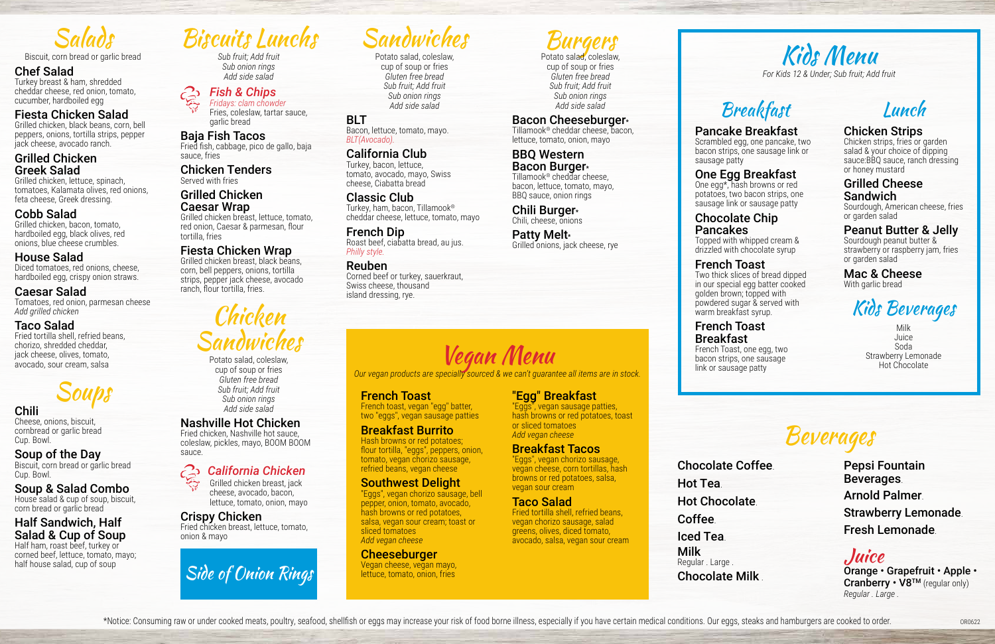Biscuits Lunchs

*Sub fruit; Add fruit Sub onion rings Add side salad* 

*Fish & Chips Fridays: clam chowder*  Fries, coleslaw, tartar sauce,

garlic bread

### Baja Fish Tacos

Fried fish, cabbage, pico de gallo, baja sauce, fries

Chicken Tenders Served with fries

### Grilled Chicken Caesar Wrap

Grilled chicken breast, lettuce, tomato, red onion, Caesar & parmesan, flour tortilla, fries

### Fiesta Chicken Wrap

Grilled chicken breast, black beans, corn, bell peppers, onions, tortilla strips, pepper jack cheese, avocado ranch, flour tortilla, fries.

### BBQ Western Bacon Burger\*

## Chicken Sandwiches

### Patty Melt\* Grilled onions, jack cheese, rye

Potato salad, coleslaw, cup of soup or fries *Gluten free bread Sub fruit; Add fruit Sub onion rings Add side salad* 

### Nashville Hot Chicken

Fried chicken, Nashville hot sauce, coleslaw, pickles, mayo, BOOM BOOM sauce.

### *California Chicken*

Grilled chicken breast, jack cheese, avocado, bacon, lettuce, tomato, onion, mayo

### Crispy Chicken

Fried chicken breast, lettuce, tomato, onion & mayo

### Burgers

Potato salad, coleslaw, cup of soup or fries *Gluten free bread Sub fruit; Add fruit Sub onion rings Add side salad*

### Bacon Cheeseburger\*

One egg\*, hash browns or red potatoes, two bacon strips, one sausage link or sausage patty

Tillamook® cheddar cheese, bacon, lettuce, tomato, onion, mayo

Tillamook® cheddar cheese, bacon, lettuce, tomato, mayo, BBQ sauce, onion rings

Chili Burger\* Chili, cheese, onions

OR0622

## Sandwiches

Potato salad, coleslaw, cup of soup or fries *Gluten free bread Sub fruit; Add fruit Sub onion rings Add side salad*

### BLT Bacon, lettuce, tomato, mayo.

*BLT(Avocado).*

### California Club

Turkey, bacon, lettuce, tomato, avocado, mayo, Swiss cheese, Ciabatta bread

Classic Club Turkey, ham, bacon, Tillamook® cheddar cheese, lettuce, tomato, mayo

French Dip Roast beef, ciabatta bread, au jus. *Philly style.*

### Reuben

Corned beef or turkey, sauerkraut, Swiss cheese, thousand island dressing, rye.

> Chocolate Coffee. Hot Tea. Hot Chocolate. Coffee. Iced Tea. Milk Regular . Large .

\*Notice: Consuming raw or under cooked meats, poultry, seafood, shellfish or eggs may increase your risk of food borne illness, especially if you have certain medical conditions. Our eggs, steaks and hamburgers are cooked

Chocolate Milk .

## Beverages

Half ham, roast beef, turkey or corned beef, lettuce, tomato, mayo;<br>half house salad, cup of soup

Pepsi Fountain Beverages. Arnold Palmer. Strawberry Lemonade. Fresh Lemonade.

### Juice

Orange • Grapefruit • Apple • Cranberry • V8<sup>TM</sup> (regular only) *Regular . Large .*



## Breakfast

### Pancake Breakfast

Scrambled egg, one pancake, two bacon strips, one sausage link or sausage patty

### One Egg Breakfast

### Chocolate Chip Pancakes

Topped with whipped cream & drizzled with chocolate syrup

### French Toast

Two thick slices of bread dipped in our special egg batter cooked golden brown; topped with powdered sugar & served with warm breakfast syrup.

### French Toast Breakfast French Toast, one egg, two bacon strips, one sausage

link or sausage patty

## Lunch

### Chicken Strips

Chicken strips, fries or garden salad & your choice of dipping sauce:BBQ sauce, ranch dressing or honey mustard

### Grilled Cheese Sandwich

Sourdough, American cheese, fries or garden salad

### Peanut Butter & Jelly

Sourdough peanut butter & strawberry or raspberry jam, fries or garden salad

### Mac & Cheese With garlic bread

### Kids Beverages

Milk Juice Soda Strawberry Lemonade Hot Chocolate

Salads

Biscuit, corn bread or garlic bread

### Chef Salad

Turkey breast & ham, shredded cheddar cheese, red onion, tomato, cucumber, hardboiled egg

### Fiesta Chicken Salad

Grilled chicken, black beans, corn, bell peppers, onions, tortilla strips, pepper jack cheese, avocado ranch.

### Grilled Chicken Greek Salad

Grilled chicken, lettuce, spinach, tomatoes, Kalamata olives, red onions, feta cheese, Greek dressing.

### Cobb Salad

Grilled chicken, bacon, tomato, hardboiled egg, black olives, red onions, blue cheese crumbles.

### House Salad

Diced tomatoes, red onions, cheese, hardboiled egg, crispy onion straws.

### Caesar Salad

Tomatoes, red onion, parmesan cheese *Add grilled chicken* 

### Taco Salad

Fried tortilla shell, refried beans, chorizo, shredded cheddar, jack cheese, olives, tomato, avocado, sour cream, salsa

Soups

### Chili

Cheese, onions, biscuit, cornbread or garlic bread Cup. Bowl.

### Soup of the Day

Biscuit, corn bread or garlic bread Cup. Bowl.

### Soup & Salad Combo

House salad & cup of soup, biscuit, corn bread or garlic bread

### Half Sandwich, Half Salad & Cup of Soup





*Our vegan products are specially sourced & we can't guarantee all items are in stock.*

### French Toast

French toast, vegan "egg" batter, two "eggs", vegan sausage patties

### Breakfast Burrito

Hash browns or red potatoes; flour tortilla, "eggs", peppers, onion, tomato, vegan chorizo sausage, refried beans, vegan cheese

### Southwest Delight

"Eggs", vegan chorizo sausage, bell pepper, onion, tomato, avocado, hash browns or red potatoes, salsa, vegan sour cream; toast or sliced tomatoes *Add vegan cheese* 

### **Cheeseburger**

Vegan cheese, vegan mayo, lettuce, tomato, onion, fries

### "Egg" Breakfast

"Eggs", vegan sausage patties, hash browns or red potatoes, toast or sliced tomatoes *Add vegan cheese* 

### Breakfast Tacos

"Eggs", vegan chorizo sausage, vegan cheese, corn tortillas, hash browns or red potatoes, salsa, vegan sour cream

### Taco Salad

Fried tortilla shell, refried beans, vegan chorizo sausage, salad greens, olives, diced tomato, avocado, salsa, vegan sour cream